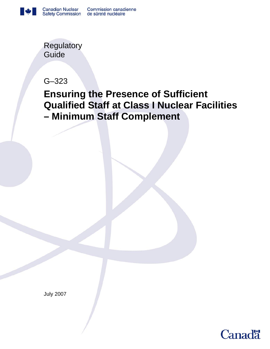

**Regulatory** Guide

G–323

# **Ensuring the Presence of Sufficient Qualified Staff at Class I Nuclear Facilities – Minimum Staff Complement**

July 2007

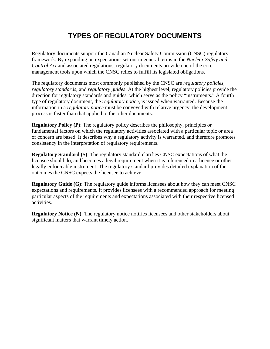# **TYPES OF REGULATORY DOCUMENTS**

Regulatory documents support the Canadian Nuclear Safety Commission (CNSC) regulatory framework. By expanding on expectations set out in general terms in the *Nuclear Safety and Control Act* and associated regulations, regulatory documents provide one of the core management tools upon which the CNSC relies to fulfill its legislated obligations.

The regulatory documents most commonly published by the CNSC are *regulatory policies*, *regulatory standards*, and *regulatory guides*. At the highest level, regulatory policies provide the direction for regulatory standards and guides, which serve as the policy "instruments." A fourth type of regulatory document, the *regulatory notice*, is issued when warranted. Because the information in a *regulatory notice* must be conveyed with relative urgency, the development process is faster than that applied to the other documents.

**Regulatory Policy (P)**: The regulatory policy describes the philosophy, principles or fundamental factors on which the regulatory activities associated with a particular topic or area of concern are based. It describes why a regulatory activity is warranted, and therefore promotes consistency in the interpretation of regulatory requirements.

**Regulatory Standard (S)**: The regulatory standard clarifies CNSC expectations of what the licensee should do, and becomes a legal requirement when it is referenced in a licence or other legally enforceable instrument. The regulatory standard provides detailed explanation of the outcomes the CNSC expects the licensee to achieve.

**Regulatory Guide (G)**: The regulatory guide informs licensees about how they can meet CNSC expectations and requirements. It provides licensees with a recommended approach for meeting particular aspects of the requirements and expectations associated with their respective licensed activities.

**Regulatory Notice (N):** The regulatory notice notifies licensees and other stakeholders about significant matters that warrant timely action.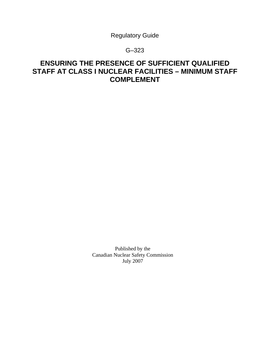Regulatory Guide

## G–323

## **ENSURING THE PRESENCE OF SUFFICIENT QUALIFIED STAFF AT CLASS I NUCLEAR FACILITIES – MINIMUM STAFF COMPLEMENT**

Published by the Canadian Nuclear Safety Commission July 2007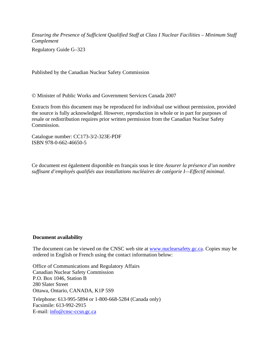*Ensuring the Presence of Sufficient Qualified Staff at Class I Nuclear Facilities – Minimum Staff Complement* 

Regulatory Guide G–323

Published by the Canadian Nuclear Safety Commission

© Minister of Public Works and Government Services Canada 2007

Extracts from this document may be reproduced for individual use without permission, provided the source is fully acknowledged. However, reproduction in whole or in part for purposes of resale or redistribution requires prior written permission from the Canadian Nuclear Safety Commission.

Catalogue number: CC173-3/2-323E-PDF ISBN 978-0-662-46650-5

Ce document est également disponible en français sous le titre *Assurer la présence d'un nombre suffisant d'employés qualifiés aux installations nucléaires de catégorie I—Effectif minimal*.

#### **Document availability**

The document can be viewed on the CNSC web site at www.nuclearsafety.gc.ca. Copies may be ordered in English or French using the contact information below:

Office of Communications and Regulatory Affairs Canadian Nuclear Safety Commission P.O. Box 1046, Station B 280 Slater Street Ottawa, Ontario, CANADA, K1P 5S9

Telephone: 613-995-5894 or 1-800-668-5284 (Canada only) Facsimile: 613-992-2915 E-mail: [info@cnsc-ccsn.gc.ca](mailto:info@cnsc-ccsn.gc.ca)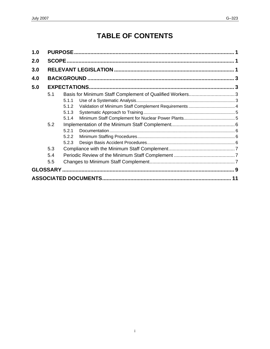# **TABLE OF CONTENTS**

| 1.0 |     |       |  |  |  |
|-----|-----|-------|--|--|--|
| 2.0 |     |       |  |  |  |
| 3.0 |     |       |  |  |  |
| 4.0 |     |       |  |  |  |
| 5.0 |     |       |  |  |  |
|     | 5.1 |       |  |  |  |
|     |     | 5.1.1 |  |  |  |
|     |     | 5.1.2 |  |  |  |
|     |     | 5.1.3 |  |  |  |
|     |     | 5.1.4 |  |  |  |
|     | 5.2 |       |  |  |  |
|     |     | 5.2.1 |  |  |  |
|     |     | 5.2.2 |  |  |  |
|     |     | 5.2.3 |  |  |  |
|     | 5.3 |       |  |  |  |
|     | 5.4 |       |  |  |  |
|     | 5.5 |       |  |  |  |
|     |     |       |  |  |  |
|     | 11  |       |  |  |  |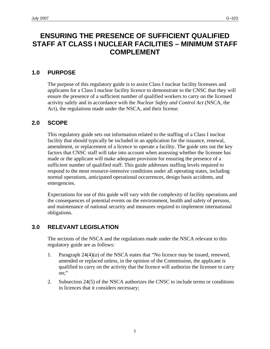## <span id="page-6-0"></span>**ENSURING THE PRESENCE OF SUFFICIENT QUALIFIED STAFF AT CLASS I NUCLEAR FACILITIES – MINIMUM STAFF COMPLEMENT**

## **1.0 PURPOSE**

The purpose of this regulatory guide is to assist Class I nuclear facility licensees and applicants for a Class I nuclear facility licence to demonstrate to the CNSC that they will ensure the presence of a sufficient number of qualified workers to carry on the licensed activity safely and in accordance with the *Nuclear Safety and Control Act* (NSCA, the Act), the regulations made under the NSCA, and their license.

## **2.0 SCOPE**

This regulatory guide sets out information related to the staffing of a Class I nuclear facility that should typically be included in an application for the issuance, renewal, amendment, or replacement of a licence to operate a facility. The guide sets out the key factors that CNSC staff will take into account when assessing whether the licensee has made or the applicant will make adequate provision for ensuring the presence of a sufficient number of qualified staff. This guide addresses staffing levels required to respond to the most resource-intensive conditions under all operating states, including normal operations, anticipated operational occurrences, design basis accidents, and emergencies.

Expectations for use of this guide will vary with the complexity of facility operations and the consequences of potential events on the environment, health and safety of persons, and maintenance of national security and measures required to implement international obligations.

## **3.0 RELEVANT LEGISLATION**

The sections of the NSCA and the regulations made under the NSCA relevant to this regulatory guide are as follows:

- 1. Paragraph  $24(4)(a)$  of the NSCA states that "No licence may be issued, renewed, amended or replaced unless, in the opinion of the Commission, the applicant is qualified to carry on the activity that the licence will authorize the licensee to carry on;"
- 2. Subsection 24(5) of the NSCA authorizes the CNSC to include terms or conditions in licences that it considers necessary;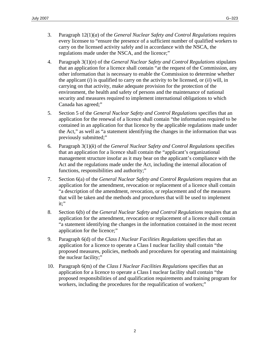- 3. Paragraph 12(1)(*a*) of the *General Nuclear Safety and Control Regulations* requires every licensee to "ensure the presence of a sufficient number of qualified workers to carry on the licensed activity safely and in accordance with the NSCA, the regulations made under the NSCA, and the licence;"
- 4. Paragraph 3(1)(*n*) of the *General Nuclear Safety and Control Regulations* stipulates that an application for a licence shall contain "at the request of the Commission, any other information that is necessary to enable the Commission to determine whether the applicant (*i*) is qualified to carry on the activity to be licensed, or (*ii*) will, in carrying on that activity, make adequate provision for the protection of the environment, the health and safety of persons and the maintenance of national security and measures required to implement international obligations to which Canada has agreed;"
- 5. Section 5 of the *General Nuclear Safety and Control Regulations* specifies that an application for the renewal of a licence shall contain "the information required to be contained in an application for that licence by the applicable regulations made under the Act," as well as "a statement identifying the changes in the information that was previously submitted;"
- 6. Paragraph 3(1)(*k*) of the *General Nuclear Safety and Control Regulations* specifies that an application for a licence shall contain the "applicant's organizational management structure insofar as it may bear on the applicant's compliance with the Act and the regulations made under the Act, including the internal allocation of functions, responsibilities and authority;"
- 7. Section 6(a) of the *General Nuclear Safety and Control Regulations* requires that an application for the amendment, revocation or replacement of a licence shall contain "a description of the amendment, revocation, or replacement and of the measures that will be taken and the methods and procedures that will be used to implement it;"
- 8. Section 6(b) of the *General Nuclear Safety and Control Regulations* requires that an application for the amendment, revocation or replacement of a licence shall contain "a statement identifying the changes in the information contained in the most recent application for the licence;"
- 9. Paragraph 6(d) of the *Class I Nuclear Facilities Regulations* specifies that an application for a licence to operate a Class I nuclear facility shall contain "the proposed measures, policies, methods and procedures for operating and maintaining the nuclear facility;"
- 10. Paragraph 6(m) of the *Class I Nuclear Facilities Regulations* specifies that an application for a licence to operate a Class I nuclear facility shall contain "the proposed responsibilities of and qualification requirements and training program for workers, including the procedures for the requalification of workers;"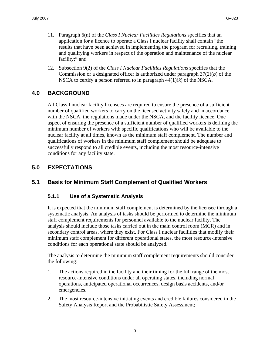- <span id="page-8-0"></span>11. Paragraph 6(n) of the *Class I Nuclear Facilities Regulations* specifies that an application for a licence to operate a Class I nuclear facility shall contain "the results that have been achieved in implementing the program for recruiting, training and qualifying workers in respect of the operation and maintenance of the nuclear facility;" and
- 12. Subsection 9(2) of the *Class I Nuclear Facilities Regulations* specifies that the Commission or a designated officer is authorized under paragraph 37(2)(*b*) of the NSCA to certify a person referred to in paragraph 44(1)(*k*) of the NSCA.

## **4.0 BACKGROUND**

All Class I nuclear facility licensees are required to ensure the presence of a sufficient number of qualified workers to carry on the licensed activity safely and in accordance with the NSCA, the regulations made under the NSCA, and the facility licence. One aspect of ensuring the presence of a sufficient number of qualified workers is defining the minimum number of workers with specific qualifications who will be available to the nuclear facility at all times, known as the minimum staff complement. The number and qualifications of workers in the minimum staff complement should be adequate to successfully respond to all credible events, including the most resource-intensive conditions for any facility state.

## **5.0 EXPECTATIONS**

## **5.1 Basis for Minimum Staff Complement of Qualified Workers**

## **5.1.1 Use of a Systematic Analysis**

It is expected that the minimum staff complement is determined by the licensee through a systematic analysis. An analysis of tasks should be performed to determine the minimum staff complement requirements for personnel available to the nuclear facility. The analysis should include those tasks carried out in the main control room (MCR) and in secondary control areas, where they exist. For Class I nuclear facilities that modify their minimum staff complement for different operational states, the most resource-intensive conditions for each operational state should be analyzed.

The analysis to determine the minimum staff complement requirements should consider the following:

- 1. The actions required in the facility and their timing for the full range of the most resource-intensive conditions under all operating states, including normal operations, anticipated operational occurrences, design basis accidents, and/or emergencies.
- 2. The most resource-intensive initiating events and credible failures considered in the Safety Analysis Report and the Probabilistic Safety Assessment;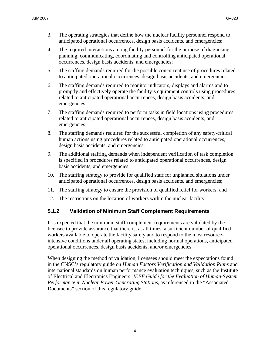- <span id="page-9-0"></span>3. The operating strategies that define how the nuclear facility personnel respond to anticipated operational occurrences, design basis accidents, and emergencies;
- 4. The required interactions among facility personnel for the purpose of diagnosing, planning, communicating, coordinating and controlling anticipated operational occurrences, design basis accidents, and emergencies;
- 5. The staffing demands required for the possible concurrent use of procedures related to anticipated operational occurrences, design basis accidents, and emergencies;
- 6. The staffing demands required to monitor indicators, displays and alarms and to promptly and effectively operate the facility's equipment controls using procedures related to anticipated operational occurrences, design basis accidents, and emergencies;
- 7. The staffing demands required to perform tasks in field locations using procedures related to anticipated operational occurrences, design basis accidents, and emergencies;
- 8. The staffing demands required for the successful completion of any safety-critical human actions using procedures related to anticipated operational occurrences, design basis accidents, and emergencies;
- 9. The additional staffing demands when independent verification of task completion is specified in procedures related to anticipated operational occurrences, design basis accidents, and emergencies;
- 10. The staffing strategy to provide for qualified staff for unplanned situations under anticipated operational occurrences, design basis accidents, and emergencies;
- 11. The staffing strategy to ensure the provision of qualified relief for workers; and
- 12. The restrictions on the location of workers within the nuclear facility.

## **5.1.2 Validation of Minimum Staff Complement Requirements**

It is expected that the minimum staff complement requirements are validated by the licensee to provide assurance that there is, at all times, a sufficient number of qualified workers available to operate the facility safely and to respond to the most resourceintensive conditions under all operating states, including normal operations, anticipated operational occurrences, design basis accidents, and/or emergencies.

When designing the method of validation, licensees should meet the expectations found in the CNSC's regulatory guide on *Human Factors Verification and Validation Plans* and international standards on human performance evaluation techniques, such as the Institute of Electrical and Electronics Engineers' *IEEE Guide for the Evaluation of Human-System Performance in Nuclear Power Generating Stations*, as referenced in the "Associated Documents" section of this regulatory guide.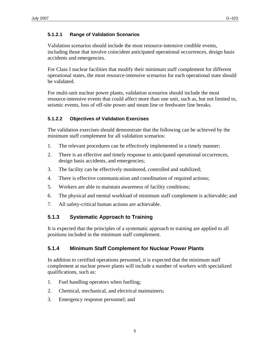#### <span id="page-10-0"></span>**5.1.2.1 Range of Validation Scenarios**

Validation scenarios should include the most resource-intensive credible events, including those that involve coincident anticipated operational occurrences, design basis accidents and emergencies.

For Class I nuclear facilities that modify their minimum staff complement for different operational states, the most resource-intensive scenarios for each operational state should be validated.

For multi-unit nuclear power plants, validation scenarios should include the most resource-intensive events that could affect more than one unit, such as, but not limited to, seismic events, loss of off-site power and steam line or feedwater line breaks.

#### **5.1.2.2 Objectives of Validation Exercises**

The validation exercises should demonstrate that the following can be achieved by the minimum staff complement for all validation scenarios:

- 1. The relevant procedures can be effectively implemented in a timely manner;
- 2. There is an effective and timely response to anticipated operational occurrences, design basis accidents, and emergencies;
- 3. The facility can be effectively monitored, controlled and stabilized;
- 4. There is effective communication and coordination of required actions;
- 5. Workers are able to maintain awareness of facility conditions;
- 6. The physical and mental workload of minimum staff complement is achievable; and
- 7. All safety-critical human actions are achievable.

## **5.1.3 Systematic Approach to Training**

It is expected that the principles of a systematic approach to training are applied to all positions included in the minimum staff complement.

#### **5.1.4 Minimum Staff Complement for Nuclear Power Plants**

In addition to certified operations personnel, it is expected that the minimum staff complement at nuclear power plants will include a number of workers with specialized qualifications, such as:

- 1. Fuel handling operators when fuelling;
- 2. Chemical, mechanical, and electrical maintainers;
- 3. Emergency response personnel; and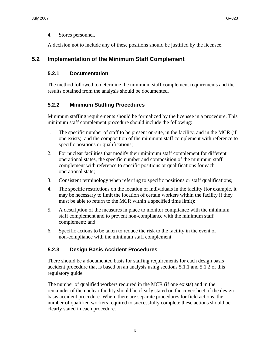<span id="page-11-0"></span>4. Stores personnel.

A decision not to include any of these positions should be justified by the licensee.

## **5.2 Implementation of the Minimum Staff Complement**

## **5.2.1 Documentation**

The method followed to determine the minimum staff complement requirements and the results obtained from the analysis should be documented.

#### **5.2.2 Minimum Staffing Procedures**

Minimum staffing requirements should be formalized by the licensee in a procedure. This minimum staff complement procedure should include the following:

- 1. The specific number of staff to be present on-site, in the facility, and in the MCR (if one exists), and the composition of the minimum staff complement with reference to specific positions or qualifications;
- 2. For nuclear facilities that modify their minimum staff complement for different operational states, the specific number and composition of the minimum staff complement with reference to specific positions or qualifications for each operational state;
- 3. Consistent terminology when referring to specific positions or staff qualifications;
- 4. The specific restrictions on the location of individuals in the facility (for example, it may be necessary to limit the location of certain workers within the facility if they must be able to return to the MCR within a specified time limit);
- 5. A description of the measures in place to monitor compliance with the minimum staff complement and to prevent non-compliance with the minimum staff complement; and
- 6. Specific actions to be taken to reduce the risk to the facility in the event of non-compliance with the minimum staff complement.

## **5.2.3 Design Basis Accident Procedures**

There should be a documented basis for staffing requirements for each design basis accident procedure that is based on an analysis using sections 5.1.1 and 5.1.2 of this regulatory guide.

The number of qualified workers required in the MCR (if one exists) and in the remainder of the nuclear facility should be clearly stated on the coversheet of the design basis accident procedure. Where there are separate procedures for field actions, the number of qualified workers required to successfully complete these actions should be clearly stated in each procedure.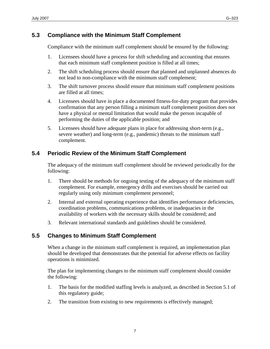## <span id="page-12-0"></span>**5.3 Compliance with the Minimum Staff Complement**

Compliance with the minimum staff complement should be ensured by the following:

- 1. Licensees should have a process for shift scheduling and accounting that ensures that each minimum staff complement position is filled at all times;
- 2. The shift scheduling process should ensure that planned and unplanned absences do not lead to non-compliance with the minimum staff complement;
- 3. The shift turnover process should ensure that minimum staff complement positions are filled at all times;
- 4. Licensees should have in place a documented fitness-for-duty program that provides confirmation that any person filling a minimum staff complement position does not have a physical or mental limitation that would make the person incapable of performing the duties of the applicable position; and
- 5. Licensees should have adequate plans in place for addressing short-term (e.g., severe weather) and long-term (e.g., pandemic) threats to the minimum staff complement.

## **5.4 Periodic Review of the Minimum Staff Complement**

The adequacy of the minimum staff complement should be reviewed periodically for the following:

- 1. There should be methods for ongoing testing of the adequacy of the minimum staff complement. For example, emergency drills and exercises should be carried out regularly using only minimum complement personnel;
- 2. Internal and external operating experience that identifies performance deficiencies, coordination problems, communications problems, or inadequacies in the availability of workers with the necessary skills should be considered; and
- 3. Relevant international standards and guidelines should be considered.

#### **5.5 Changes to Minimum Staff Complement**

When a change in the minimum staff complement is required, an implementation plan should be developed that demonstrates that the potential for adverse effects on facility operations is minimized.

The plan for implementing changes to the minimum staff complement should consider the following:

- 1. The basis for the modified staffing levels is analyzed, as described in Section 5.1 of this regulatory guide;
- 2. The transition from existing to new requirements is effectively managed;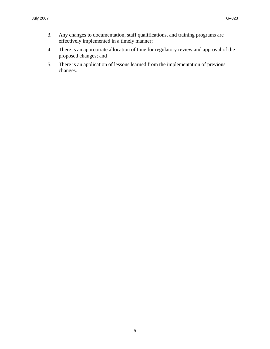- 3. Any changes to documentation, staff qualifications, and training programs are effectively implemented in a timely manner;
- 4. There is an appropriate allocation of time for regulatory review and approval of the proposed changes; and
- 5. There is an application of lessons learned from the implementation of previous changes.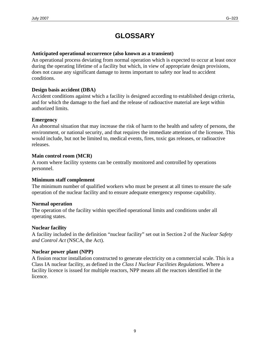# **GLOSSARY**

#### <span id="page-14-0"></span>**Anticipated operational occurrence (also known as a transient)**

An operational process deviating from normal operation which is expected to occur at least once during the operating lifetime of a facility but which, in view of appropriate design provisions, does not cause any significant damage to items important to safety nor lead to accident conditions.

#### **Design basis accident (DBA)**

Accident conditions against which a facility is designed according to established design criteria, and for which the damage to the fuel and the release of radioactive material are kept within authorized limits.

#### **Emergency**

An abnormal situation that may increase the risk of harm to the health and safety of persons, the environment, or national security, and that requires the immediate attention of the licensee. This would include, but not be limited to, medical events, fires, toxic gas releases, or radioactive releases.

#### **Main control room (MCR)**

A room where facility systems can be centrally monitored and controlled by operations personnel.

#### **Minimum staff complement**

The minimum number of qualified workers who must be present at all times to ensure the safe operation of the nuclear facility and to ensure adequate emergency response capability.

#### **Normal operation**

The operation of the facility within specified operational limits and conditions under all operating states.

#### **Nuclear facility**

A facility included in the definition "nuclear facility" set out in Section 2 of the *Nuclear Safety and Control Act* (NSCA, the Act).

#### **Nuclear power plant (NPP)**

A fission reactor installation constructed to generate electricity on a commercial scale. This is a Class IA nuclear facility, as defined in the *Class I Nuclear Facilities Regulations*. Where a facility licence is issued for multiple reactors, NPP means all the reactors identified in the licence.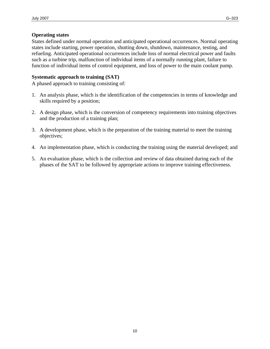States defined under normal operation and anticipated operational occurrences. Normal operating states include starting, power operation, shutting down, shutdown, maintenance, testing, and refueling. Anticipated operational occurrences include loss of normal electrical power and faults such as a turbine trip, malfunction of individual items of a normally running plant, failure to function of individual items of control equipment, and loss of power to the main coolant pump.

#### **Systematic approach to training (SAT)**

A phased approach to training consisting of:

- 1. An analysis phase, which is the identification of the competencies in terms of knowledge and skills required by a position;
- 2. A design phase, which is the conversion of competency requirements into training objectives and the production of a training plan;
- 3. A development phase, which is the preparation of the training material to meet the training objectives;
- 4. An implementation phase, which is conducting the training using the material developed; and
- 5. An evaluation phase, which is the collection and review of data obtained during each of the phases of the SAT to be followed by appropriate actions to improve training effectiveness.